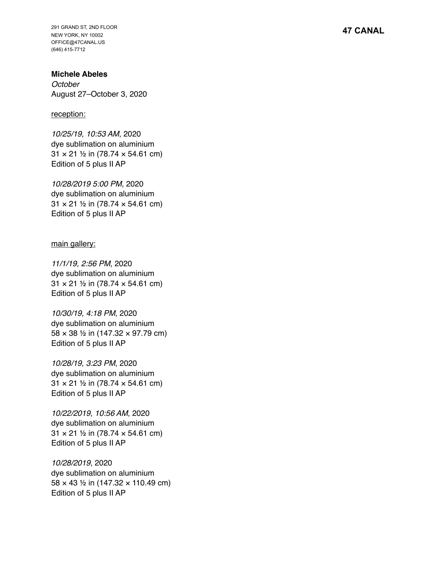291 GRAND ST, 2ND FLOOR NEW YORK, NY 10002 OFFICE@47CANAL.US (646) 415-7712

**Michele Abeles** *October* August 27–October 3, 2020

## reception:

*10/25/19, 10:53 AM*, 2020 dye sublimation on aluminium 31 × 21 ½ in (78.74 × 54.61 cm) Edition of 5 plus II AP

*10/28/2019 5:00 PM*, 2020 dye sublimation on aluminium 31 × 21 ½ in (78.74 × 54.61 cm) Edition of 5 plus II AP

main gallery:

*11/1/19, 2:56 PM*, 2020 dye sublimation on aluminium 31 × 21 ½ in (78.74 × 54.61 cm) Edition of 5 plus II AP

*10/30/19, 4:18 PM*, 2020 dye sublimation on aluminium 58 × 38 ½ in (147.32 × 97.79 cm) Edition of 5 plus II AP

*10/28/19, 3:23 PM*, 2020 dye sublimation on aluminium 31 × 21 ½ in (78.74 × 54.61 cm) Edition of 5 plus II AP

*10/22/2019, 10:56 AM*, 2020 dye sublimation on aluminium 31 × 21 ½ in (78.74 × 54.61 cm) Edition of 5 plus II AP

*10/28/2019*, 2020 dye sublimation on aluminium 58 × 43 ½ in (147.32 × 110.49 cm) Edition of 5 plus II AP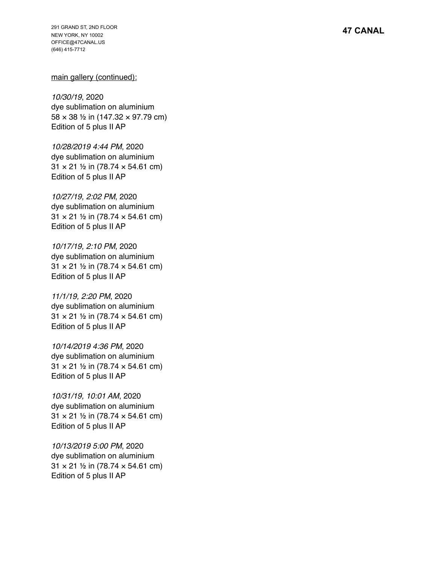291 GRAND ST, 2ND FLOOR NEW YORK, NY 10002 OFFICE@47CANAL.US (646) 415-7712

## main gallery (continued):

*10/30/19*, 2020 dye sublimation on aluminium 58 × 38 ½ in (147.32 × 97.79 cm) Edition of 5 plus II AP

*10/28/2019 4:44 PM*, 2020 dye sublimation on aluminium 31 × 21 ½ in (78.74 × 54.61 cm) Edition of 5 plus II AP

*10/27/19, 2:02 PM*, 2020 dye sublimation on aluminium 31 × 21 ½ in (78.74 × 54.61 cm) Edition of 5 plus II AP

*10/17/19, 2:10 PM*, 2020 dye sublimation on aluminium 31 × 21 ½ in (78.74 × 54.61 cm) Edition of 5 plus II AP

*11/1/19, 2:20 PM*, 2020 dye sublimation on aluminium 31 × 21 ½ in (78.74 × 54.61 cm) Edition of 5 plus II AP

*10/14/2019 4:36 PM*, 2020 dye sublimation on aluminium 31 × 21 ½ in (78.74 × 54.61 cm) Edition of 5 plus II AP

*10/31/19, 10:01 AM*, 2020 dye sublimation on aluminium 31 × 21 ½ in (78.74 × 54.61 cm) Edition of 5 plus II AP

*10/13/2019 5:00 PM*, 2020 dye sublimation on aluminium 31 × 21 ½ in (78.74 × 54.61 cm) Edition of 5 plus II AP